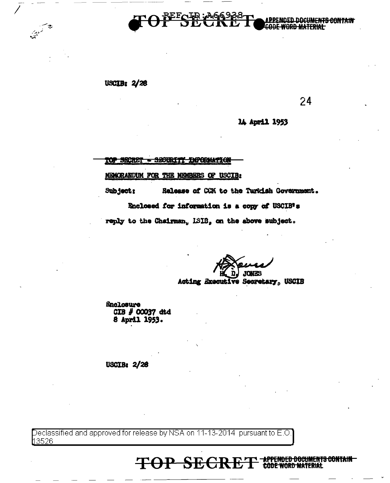

A PPENDED DOCH **ENTS CONTAIN** 

USCIB:  $2/28$ 

24

14 April 1953

TOP SECRET - SECURITY INFORMATION

MEMORANDUM FOR THE MEMBERS OF USCIB:

Subject: Release of CCM to the Turkish Government.

Enclosed for information is a copy of USCIB's

reply to the Chairman, ISIB, on the above subject.

**JONES** 

Acting Executive Secretary, USCIB

*Snelosure* CIB # 00037 dtd<br>8 April 1953.

**USCIB: 2/28** 

Declassified and approved for release by NSA on 11-13-2014 pursuant to E.O. h3526

> <del>ENDED DOCUMENTS CONTAIN-</del> **TOP SECR** MATERIAL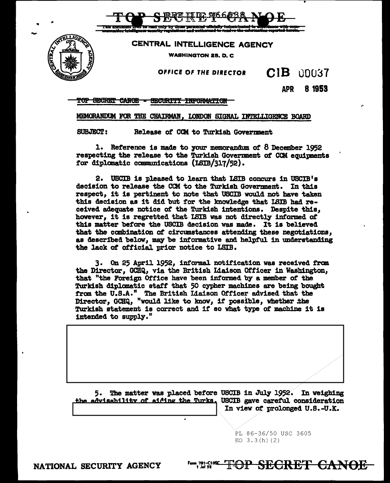CENTRAL INTELLIGENCE AGENCY

**WASHINGTON 25, D. C.** 

## OFFICE OF THE DIRECTOR

 $CIB$ 00037

> **APR** 8 1953

TOP SECRET CANOE - SECURITY INFORMATION

## MEMORANDUM FOR THE CHAIRMAN, LONDON SIGNAL INTELLIGENCE BOARD

**SUBJECT:** Release of CCM to Turkish Government

1. Reference is made to your memorandum of 8 December 1952 respecting the release to the Turkish Government of CCM equipments for diplomatic communications (ISIB/317/52).

2. USCIB is pleased to learn that ISIB concurs in USCIB's decision to release the CCM to the Turkish Government. In this respect, it is pertinent to note that USCIB would not have taken this decision as it did but for the knowledge that ISIB had received adequate notice of the Turkish intentions. Despite this, however, it is regretted that LSIB was not directly informed of this matter before the USCIB decision was made. It is believed that the combination of circumstances attending these negotiations. as described below, may be informative and helpful in understanding the lack of official prior notice to LSIB.

3. On 25 April 1952, informal notification was received from the Director, GCHQ, via the British Liaison Officer in Washington, that "the Foreign Office have been informed by a member of the Turkish diplomatic staff that 50 cypher machines are being bought from the U.S.A." The British Liaison Officer advised that the Director, GCHQ, "would like to know, if possible, whether the Turkish statement is correct and if so what type of machine it is intended to supply."

5. The matter was placed before USCIB in July 1952. In weighing the advisability of aiding the Turks. USCIB gave careful consideration In view of prolonged U.S.-U.K.

> PL 86-36/50 USC 3605 EO  $3.3(h)(2)$

<del>'OP SECRET CANOE</del>

NATIONAL SECURITY AGENCY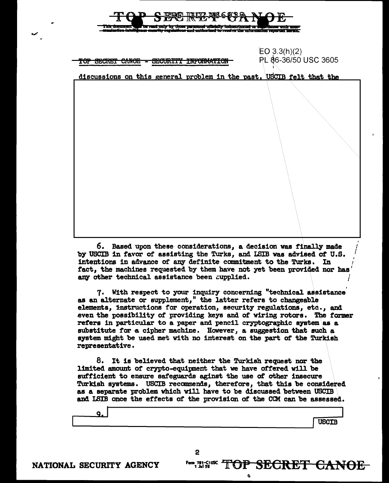| д<br>מה <i>מוח</i> ש ה<br>$\boldsymbol{\nu}$ by<br>This document was be read only by those personnel officially inductrinated in 2007 (inner with comp<br>munication intulligence socurity regulations and authorized to receive the unformation reported herein. |                                      |
|-------------------------------------------------------------------------------------------------------------------------------------------------------------------------------------------------------------------------------------------------------------------|--------------------------------------|
| SECRET CANOE<br><b>SECURTTY</b><br><b>INFORMATION</b><br><del>rof</del><br>$\overline{\phantom{a}}$                                                                                                                                                               | EO 3.3(h)(2)<br>PL 86-36/50 USC 3605 |
| discussions on this general problem in the past, USCIB felt that the                                                                                                                                                                                              |                                      |
|                                                                                                                                                                                                                                                                   |                                      |

CREE DUCASSES NOT

TAD

6. Based upon these considerations, a decision was finally made by USCIB in favor of assisting the Turks, and ISIB was advised of U.S. intentions in advance of any definite commitment to the Turks. In fact, the machines requested by them have not yet been provided nor has any other technical assistance been cupplied.

7. With respect to your inquiry concerning "technical assistance" as an alternate or supplement," the latter refers to changeable elements, instructions for operation, security regulations, etc., and even the possibility of providing keys and of wiring rotors. The former refers in particular to a paper and pencil cryptographic system as a substitute for a cipher machine. However, a suggestion that such a system might be used met with no interest on the part of the Turkish representative.

8. It is believed that neither the Turkish request nor the limited amount of crypto-equipment that we have offered will be sufficient to ensure safeguards aginst the use of other insecure Turkish systems. USCIB recommends, therefore, that this be considered as a separate problem which will have to be discussed between USCIB and LSIB once the effects of the provision of the CCM can be assessed.

9. **USCIB** 

<sup>1</sup> Form 781–C10SC<br>1 Jul 52

OP SECRET CANOE